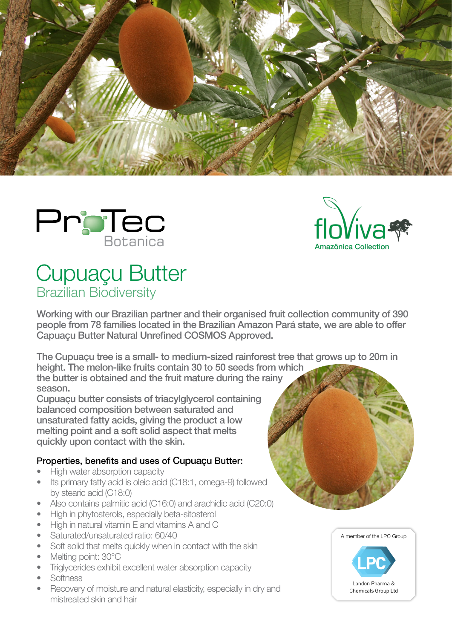





## Cupuaçu Butter Brazilian Biodiversity

Working with our Brazilian partner and their organised fruit collection community of 390 people from 78 families located in the Brazilian Amazon Pará state, we are able to offer Capuaçu Butter Natural Unrefined COSMOS Approved.

The Cupuaçu tree is a small- to medium-sized rainforest tree that grows up to 20m in height. The melon-like fruits contain 30 to 50 seeds from which

the butter is obtained and the fruit mature during the rainy season.

Cupuaçu butter consists of triacylglycerol containing balanced composition between saturated and unsaturated fatty acids, giving the product a low melting point and a soft solid aspect that melts quickly upon contact with the skin.

## Properties, benefits and uses of Cupuaçu Butter:

- High water absorption capacity
- Its primary fatty acid is oleic acid (C18:1, omega-9) followed by stearic acid (C18:0)
- Also contains palmitic acid (C16:0) and arachidic acid (C20:0)
- High in phytosterols, especially beta-sitosterol
- High in natural vitamin E and vitamins A and C
- Saturated/unsaturated ratio: 60/40
- Soft solid that melts quickly when in contact with the skin
- Melting point: 30°C
- Triglycerides exhibit excellent water absorption capacity
- Softness
- Recovery of moisture and natural elasticity, especially in dry and mistreated skin and hair